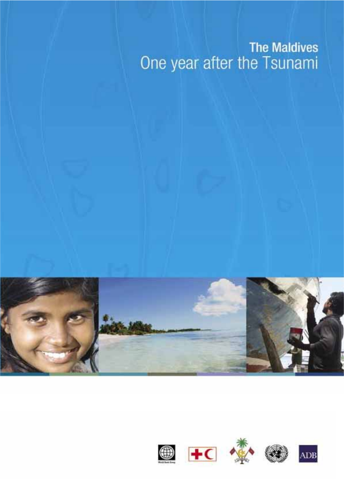### **The Maldives** One year after the Tsunami



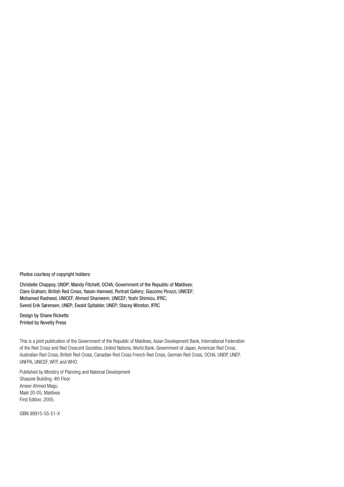Photos courtesy of copyright holders:

Christelle Chappoy, UNDP; Mandy Fitchett, OCHA; Government of the Republic of Maldives; Clare Graham, British Red Cross; Yassin Hameed, Portrait Gallery; Giacomo Pirozzi, UNICEF; Mohamed Rasheed, UNICEF; Ahmed Shameem, UNICEF; Yoshi Shimizu, IFRC; Svend Erik Sørensen, UNEP; Ewald Spitalder, UNEP; Stacey Winston, IFRC

Design by Shane Ricketts **Printed by Novelty Press** 

This is a joint publication of the Government of the Republic of Maldives, Asian Development Bank, International Federation of the Red Cross and Red Crescent Societies, United Nations, World Bank, Government of Japan, American Red Cross, Australian Red Cross, British Red Cross, Canadian Red Cross French Red Cross, German Red Cross, OCHA, UNDP, UNEP, UNFPA, UNICEF, WFP, and WHO.

Published by Ministry of Planning and National Development Ghaazee Building, 4th Floor Ameer Ahmed Magu Malé 20-05, Maldives First Edition, 2005.

ISBN 99915-55-51-X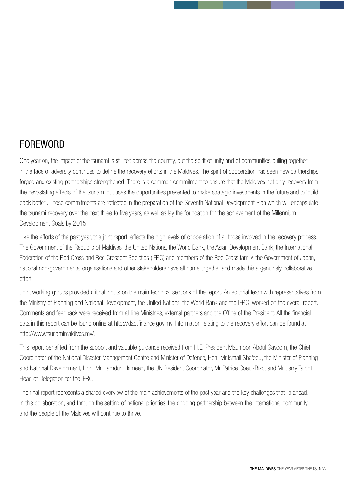### **FOREWORD**

One year on, the impact of the tsunami is still felt across the country, but the spirit of unity and of communities pulling together in the face of adversity continues to define the recovery efforts in the Maldives. The spirit of cooperation has seen new partnerships forged and existing partnerships strengthened. There is a common commitment to ensure that the Maldives not only recovers from the devastating effects of the tsunami but uses the opportunities presented to make strategic investments in the future and to 'build back better'. These commitments are reflected in the preparation of the Seventh National Development Plan which will encapsulate the tsunami recovery over the next three to five years, as well as lay the foundation for the achievement of the Millennium Development Goals by 2015.

Like the efforts of the past year, this joint report reflects the high levels of cooperation of all those involved in the recovery process. The Government of the Republic of Maldives, the United Nations, the World Bank, the Asian Development Bank, the International Federation of the Red Cross and Red Crescent Societies (IFRC) and members of the Red Cross family, the Government of Japan, national non-governmental organisations and other stakeholders have all come together and made this a genuinely collaborative effort.

Joint working groups provided critical inputs on the main technical sections of the report. An editorial team with representatives from the Ministry of Planning and National Development, the United Nations, the World Bank and the IFRC worked on the overall report, Comments and feedback were received from all line Ministries, external partners and the Office of the President. All the financial data in this report can be found online at http://dad.finance.gov.my. Information relating to the recovery effort can be found at http://www.tsunamimaldives.mv/.

This report benefited from the support and valuable quidance received from H.E. President Maumoon Abdul Gayoom, the Chief Coordinator of the National Disaster Management Centre and Minister of Defence, Hon. Mr Ismail Shafeeu, the Minister of Planning and National Development, Hon. Mr Hamdun Hameed, the UN Resident Coordinator, Mr Patrice Coeur-Bizot and Mr Jerry Talbot, Head of Delegation for the IFRC.

The final report represents a shared overview of the main achievements of the past vear and the key challenges that lie ahead. In this collaboration, and through the setting of national priorities, the ongoing partnership between the international community and the people of the Maldives will continue to thrive.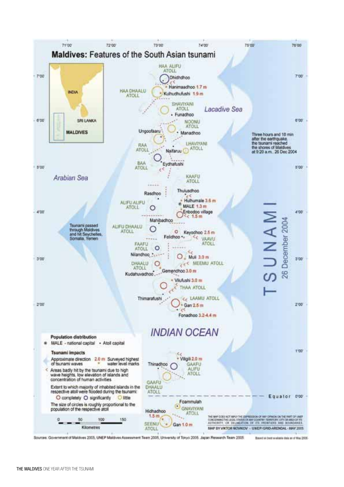

Sources: Government of Maldives 2005, UNEP Maldives Assessment Team 2005, University of Tokyo 2005. Japan Research Team 2005.

Based on best available data as of May 2105-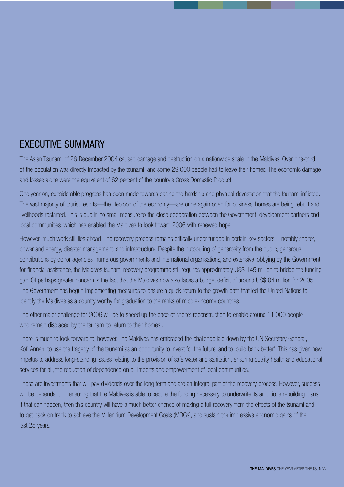### **EXECUTIVE SUMMARY**

The Asian Tsunami of 26 December 2004 caused damage and destruction on a nationwide scale in the Maldives. Over one-third of the population was directly impacted by the tsunami, and some 29,000 people had to leave their homes. The economic damage and losses alone were the equivalent of 62 percent of the country's Gross Domestic Product.

One vear on, considerable progress has been made towards easing the hardship and physical devastation that the tsunami inflicted. The vast majority of tourist resorts—the lifeblood of the economy—are once again open for business, homes are being rebuilt and livelihoods restarted. This is due in no small measure to the close cooperation between the Government, development partners and local communities, which has enabled the Maldives to look toward 2006 with renewed hope.

However, much work still lies ahead. The recovery process remains critically under-funded in certain key sectors—notably shelter, power and energy, disaster management, and infrastructure. Despite the outpouring of generosity from the public, generous contributions by donor agencies, numerous governments and international organisations, and extensive lobbying by the Government for financial assistance, the Maldives tsunami recovery programme still requires approximately US\$ 145 million to bridge the funding gap. Of perhaps greater concern is the fact that the Maldives now also faces a budget deficit of around US\$ 94 million for 2005. The Government has begun implementing measures to ensure a quick return to the growth path that led the United Nations to identify the Maldives as a country worthy for graduation to the ranks of middle-income countries.

The other major challenge for 2006 will be to speed up the pace of shelter reconstruction to enable around 11,000 people who remain displaced by the tsunami to return to their homes..

There is much to look forward to, however. The Maldives has embraced the challenge laid down by the UN Secretary General, Kofi Annan, to use the tragedy of the tsunami as an opportunity to invest for the future, and to 'build back better'. This has given new impetus to address long-standing issues relating to the provision of safe water and sanitation, ensuring quality health and educational services for all, the reduction of dependence on oil imports and empowerment of local communities.

These are investments that will pay dividends over the long term and are an integral part of the recovery process. However, success will be dependant on ensuring that the Maldives is able to secure the funding necessary to underwrite its ambitious rebuilding plans. If that can happen, then this country will have a much better chance of making a full recovery from the effects of the tsunami and to get back on track to achieve the Millennium Development Goals (MDGs), and sustain the impressive economic gains of the last 25 years.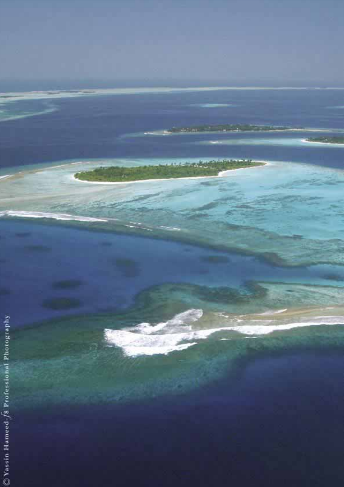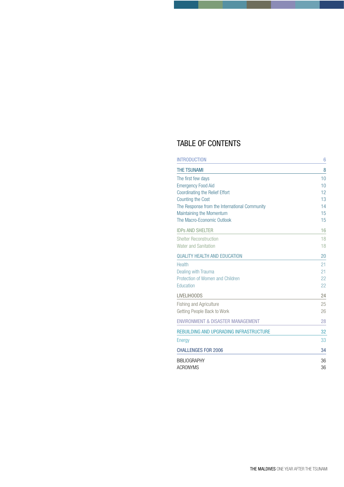### TABLE OF CONTENTS

| <b>INTRODUCTION</b>                           | 6        |
|-----------------------------------------------|----------|
| <b>THE TSUNAMI</b>                            | 8        |
| The first few days                            | 10       |
| <b>Emergency Food Aid</b>                     | 10       |
| <b>Coordinating the Relief Effort</b>         | 12<br>13 |
| <b>Counting the Cost</b>                      |          |
| The Response from the International Community | 14       |
| Maintaining the Momentum                      | 15       |
| The Macro-Economic Outlook                    | 15       |
| <b>IDPS AND SHELTER</b>                       | 16       |
| <b>Shelter Reconstruction</b>                 | 18       |
| Water and Sanitation                          | 18       |
| <b>QUALITY HEALTH AND EDUCATION</b>           | 20       |
| Health                                        | 21       |
| Dealing with Trauma                           | 21       |
| Protection of Women and Children              | 22       |
| Education                                     | 22       |
| <b>LIVELIHOODS</b>                            | 24       |
| <b>Fishing and Agriculture</b>                | 25       |
| Getting People Back to Work                   | 26       |
| <b>ENVIRONMENT &amp; DISASTER MANAGEMENT</b>  | 28       |
| REBUILDING AND UPGRADING INFRASTRUCTURE       | 32       |
| Energy                                        | 33       |
| <b>CHALLENGES FOR 2006</b>                    | 34       |
| <b>BIBLIOGRAPHY</b>                           | 36       |
| <b>ACRONYMS</b>                               | 36       |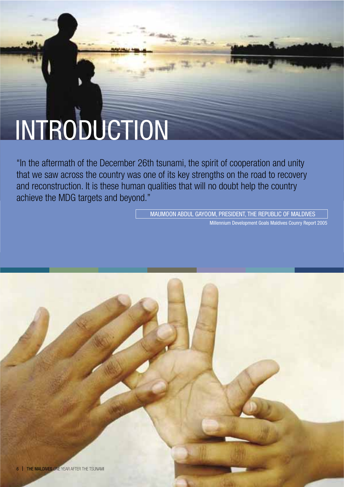## INTRODUCTION

"In the aftermath of the December 26th tsunami, the spirit of cooperation and unity that we saw across the country was one of its key strengths on the road to recovery and reconstruction. It is these human qualities that will no doubt help the country achieve the MDG targets and beyond."

> MAUMOON ABDUL GAYOOM, PRESIDENT, THE REPUBLIC OF MALDIVES Millennium Development Goals Maldives Counry Report 2005

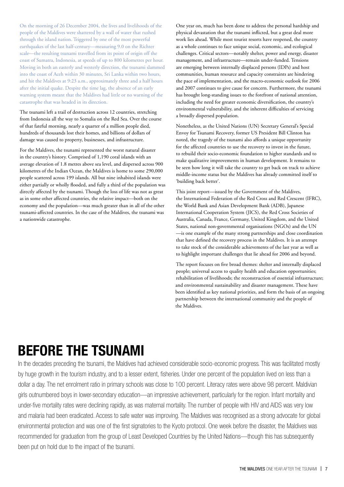On the morning of 26 December 2004, the lives and livelihoods of the people of the Maldives were shattered by a wall of water that rushed through the island nation. Triggered by one of the most powerful earthquakes of the last half-century-measuring 9.0 on the Richter scale—the resulting tsunami travelled from its point of origin off the coast of Sumatra, Indonesia, at speeds of up to 800 kilometres per hour. Moving in both an easterly and westerly direction, the tsunami slammed into the coast of Aceh within 30 minutes, Sri Lanka within two hours, and hit the Maldives at 9:23 a.m., approximately three and a half hours after the initial quake. Despite the time lag, the absence of an early warning system meant that the Maldives had little or no warning of the catastrophe that was headed in its direction.

The tsunami left a trail of destruction across 12 countries, stretching from Indonesia all the way to Somalia on the Red Sea. Over the course of that fateful morning, nearly a quarter of a million people died, hundreds of thousands lost their homes, and billions of dollars of damage was caused to property, businesses, and infrastructure.

For the Maldives, the tsunami represented the worst natural disaster in the country's history. Comprised of 1,190 coral islands with an average elevation of 1.8 metres above sea level, and dispersed across 900 kilometres of the Indian Ocean, the Maldives is home to some 290,000 people scattered across 199 islands. All but nine inhabited islands were either partially or wholly flooded, and fully a third of the population was directly affected by the tsunami. Though the loss of life was not as great as in some other affected countries, the relative impact-both on the economy and the population-was much greater than in all of the other tsunami-affected countries. In the case of the Maldives, the tsunami was a nationwide catastrophe.

One year on, much has been done to address the personal hardship and physical devastation that the tsunami inflicted, but a great deal more work lies ahead. While most tourist resorts have reopened, the country as a whole continues to face unique social, economic, and ecological challenges. Critical sectors-notably shelter, power and energy, disaster management, and infrastructure—remain under-funded. Tensions are emerging between internally displaced persons (IDPs) and host communities, human resource and capacity constraints are hindering the pace of implementation, and the macro-economic outlook for 2006 and 2007 continues to give cause for concern. Furthermore, the tsunami has brought long-standing issues to the forefront of national attention, including the need for greater economic diversification, the country's environmental vulnerability, and the inherent difficulties of servicing a broadly dispersed population.

Nonetheless, as the United Nations (UN) Secretary General's Special Envoy for Tsunami Recovery, former US President Bill Clinton has noted, the tragedy of the tsunami also affords a unique opportunity for the affected countries to use the recovery to invest in the future, to rebuild their socio-economic foundation to higher standards and to make qualitative improvements in human development. It remains to be seen how long it will take the country to get back on track to achieve middle-income status but the Maldives has already committed itself to 'building back better'.

This joint report-issued by the Government of the Maldives, the International Federation of the Red Cross and Red Crescent (IFRC), the World Bank and Asian Development Bank (ADB), Japanese International Cooperation System (JICS), the Red Cross Societies of Australia, Canada, France, Germany, United Kingdom, and the United States, national non-governmental organisations (NGOs) and the UN - is one example of the many strong partnerships and close coordination that have defined the recovery process in the Maldives. It is an attempt to take stock of the considerable achievements of the last year as well as to highlight important challenges that lie ahead for 2006 and beyond.

The report focuses on five broad themes: shelter and internally displaced people; universal access to quality health and education opportunities; rehabilitation of livelihoods; the reconstruction of essential infrastructure; and environmental sustainability and disaster management. These have been identified as key national priorities, and form the basis of an ongoing partnership between the international community and the people of the Maldives.

### **BEFORE THE TSUNAMI**

In the decades preceding the tsunami, the Maldives had achieved considerable socio-economic progress. This was facilitated mostly by huge growth in the tourism industry, and to a lesser extent, fisheries. Under one percent of the population lived on less than a dollar a day. The net enrolment ratio in primary schools was close to 100 percent. Literacy rates were above 98 percent. Maldivian girls outnumbered boys in lower-secondary education—an impressive achievement, particularly for the region. Infant mortality and under-five mortality rates were declining rapidly, as was maternal mortality. The number of people with HIV and AIDS was very low and malaria had been eradicated. Access to safe water was improving. The Maldives was recognised as a strong advocate for global environmental protection and was one of the first signatories to the Kyoto protocol. One week before the disaster, the Maldives was recommended for graduation from the group of Least Developed Countries by the United Nations—though this has subsequently been put on hold due to the impact of the tsunami.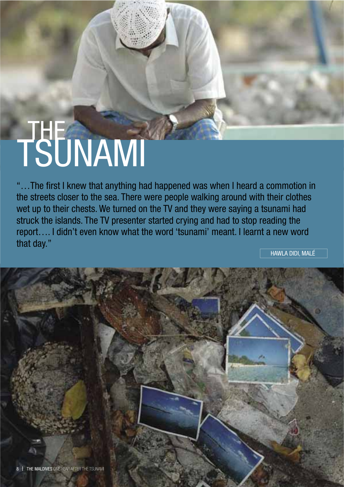# TSUNAMI

"...The first I knew that anything had happened was when I heard a commotion in the streets closer to the sea. There were people walking around with their clothes wet up to their chests. We turned on the TV and they were saying a tsunami had struck the islands. The TV presenter started crying and had to stop reading the report.... I didn't even know what the word 'tsunami' meant. I learnt a new word that day."

HAWLA DIDI, MALÉ

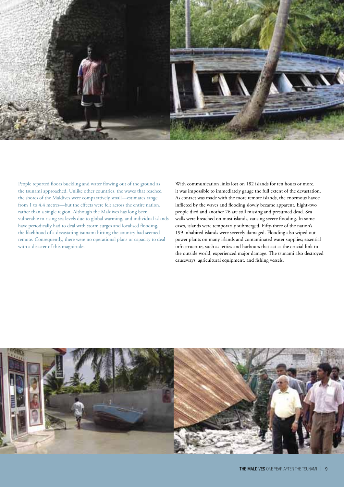

People reported floors buckling and water flowing out of the ground as the tsunami approached. Unlike other countries, the waves that reached the shores of the Maldives were comparatively small—estimates range from 1 to 4.4 metres—but the effects were felt across the entire nation, rather than a single region. Although the Maldives has long been vulnerable to rising sea levels due to global warming, and individual islands have periodically had to deal with storm surges and localised flooding, the likelihood of a devastating tsunami hitting the country had seemed remote. Consequently, there were no operational plans or capacity to deal with a disaster of this magnitude.

With communication links lost on 182 islands for ten hours or more, it was impossible to immediately gauge the full extent of the devastation. As contact was made with the more remote islands, the enormous havoc inflicted by the waves and flooding slowly became apparent. Eight-two people died and another 26 are still missing and presumed dead. Sea walls were breached on most islands, causing severe flooding. In some cases, islands were temporarily submerged. Fifty-three of the nation's 199 inhabited islands were severely damaged. Flooding also wiped out power plants on many islands and contaminated water supplies; essential infrastructure, such as jetties and harbours that act as the crucial link to the outside world, experienced major damage. The tsunami also destroyed causeways, agricultural equipment, and fishing vessels.

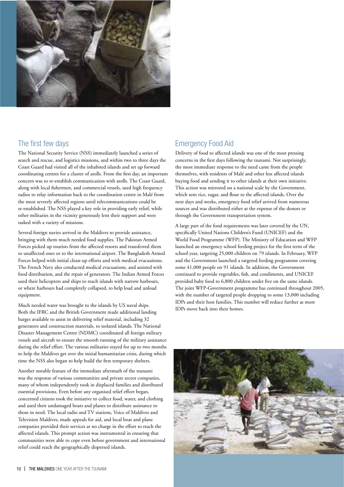

### The first few days

The National Security Service (NSS) immediately launched a series of search and rescue, and logistics missions, and within two to three days the Coast Guard had visited all of the inhabited islands and set up forward coordinating centres for a cluster of atolls. From the first day, an important concern was to re-establish communication with atolls. The Coast Guard, along with local fishermen, and commercial vessels, used high frequency radios to relay information back to the coordination centre in Malé from the most severely affected regions until telecommunications could be re-established. The NSS played a key role in providing early relief, while other militaries in the vicinity generously lent their support and were tasked with a variety of missions.

Several foreign navies arrived in the Maldives to provide assistance, bringing with them much needed food supplies. The Pakistan Armed Forces picked up tourists from the affected resorts and transferred them to unaffected ones or to the international airport. The Bangladesh Armed Forces helped with initial clean-up efforts and with medical evacuations. The French Navy also conducted medical evacuations, and assisted with food distribution, and the repair of generators. The Indian Armed Forces used their helicopters and ships to reach islands with narrow harbours, or where harbours had completely collapsed, to help load and unload equipment.

Much needed water was brought to the islands by US naval ships. Both the IFRC and the British Government made additional landing barges available to assist in delivering relief material, including 32 generators and construction materials, to isolated islands. The National Disaster Management Centre (NDMC) coordinated all foreign military vessels and aircraft to ensure the smooth running of the military assistance during the relief effort. The various militaries stayed for up to two months to help the Maldives get over the initial humanitarian crisis, during which time the NSS also began to help build the first temporary shelters.

Another notable feature of the immediate aftermath of the tsunami was the response of various communities and private sector companies, many of whom independently took in displaced families and distributed essential provisions. Even before any organised relief effort began, concerned citizens took the initiative to collect food, water, and clothing and used their undamaged boats and planes to distribute assistance to those in need. The local radio and TV stations, Voice of Maldives and Television Maldives, made appeals for aid, and local boat and plane companies provided their services at no charge in the effort to reach the affected islands. This prompt action was instrumental in ensuring that communities were able to cope even before government and international relief could reach the geographically dispersed islands.

### **Emergency Food Aid**

Delivery of food to affected islands was one of the most pressing concerns in the first days following the tsunami. Not surprisingly, the most immediate response to the need came from the people themselves, with residents of Malé and other less affected islands buying food and sending it to other islands at their own initiative. This action was mirrored on a national scale by the Government, which sent rice, sugar, and flour to the affected islands. Over the next days and weeks, emergency food relief arrived from numerous sources and was distributed either at the expense of the donors or through the Government transportation system.

A large part of the food requirements was later covered by the UN. specifically United Nations Children's Fund (UNICEF) and the World Food Programme (WFP). The Ministry of Education and WFP launched an emergency school feeding project for the first term of the school year, targeting 25,000 children on 79 islands. In February, WFP and the Government launched a targeted feeding programme covering some 41,000 people on 91 islands. In addition, the Government continued to provide vegetables, fish, and condiments, and UNICEF provided baby food to 6,800 children under five on the same islands. The joint WFP-Government programme has continued throughout 2005, with the number of targeted people dropping to some 13,000 including IDPs and their host families. This number will reduce further as more IDPs move back into their homes.

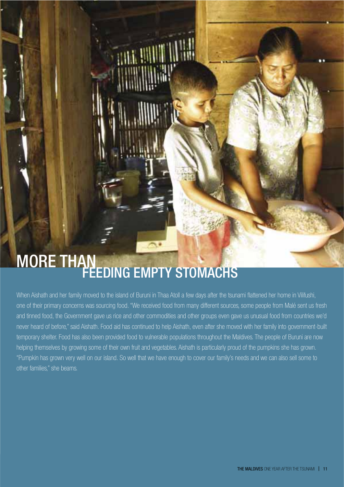# MORE THAN<br>FEEDING EMPTY STOMACHS

<u> ANNA AMANTI III II</u>

When Aishath and her family moved to the island of Buruni in Thaa Atoll a few days after the tsunami flattened her home in Vilifushi. one of their primary concerns was sourcing food. "We received food from many different sources, some people from Malé sent us fresh and tinned food, the Government gave us rice and other commodities and other groups even gave us unusual food from countries we'd never heard of before," said Aishath. Food aid has continued to help Aishath, even after she moved with her family into government-built temporary shelter. Food has also been provided food to vulnerable populations throughout the Maldives. The people of Buruni are now helping themselves by growing some of their own fruit and vegetables. Aishath is particularly proud of the pumpkins she has grown. "Pumpkin has grown very well on our island. So well that we have enough to cover our family's needs and we can also sell some to other families," she beams.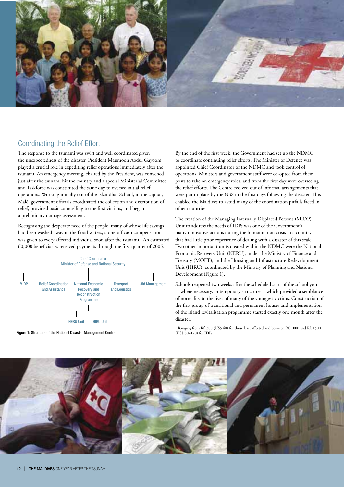

### **Coordinating the Relief Effort**

The response to the tsunami was swift and well coordinated given the unexpectedness of the disaster. President Maumoon Abdul Gayoom played a crucial role in expediting relief operations immediately after the tsunami. An emergency meeting, chaired by the President, was convened just after the tsunami hit the country and a special Ministerial Committee and Taskforce was constituted the same day to oversee initial relief operations. Working initially out of the Iskandhar School, in the capital, Malé, government officials coordinated the collection and distribution of relief, provided basic counselling to the first victims, and began a preliminary damage assessment.

Recognising the desperate need of the people, many of whose life savings had been washed away in the flood waters, a one-off cash compensation was given to every affected individual soon after the tsunami.<sup>1</sup> An estimated 60,000 beneficiaries received payments through the first quarter of 2005.



Figure 1: Structure of the National Disaster Management Centre

By the end of the first week, the Government had set up the NDMC to coordinate continuing relief efforts. The Minister of Defence was appointed Chief Coordinator of the NDMC and took control of operations. Ministers and government staff were co-opted from their posts to take on emergency roles, and from the first day were overseeing the relief efforts. The Centre evolved out of informal arrangements that were put in place by the NSS in the first days following the disaster. This enabled the Maldives to avoid many of the coordination pitfalls faced in other countries

The creation of the Managing Internally Displaced Persons (MIDP) Unit to address the needs of IDPs was one of the Government's many innovative actions during the humanitarian crisis in a country that had little prior experience of dealing with a disaster of this scale. Two other important units created within the NDMC were the National Economic Recovery Unit (NERU), under the Ministry of Finance and Treasury (MOFT), and the Housing and Infrastructure Redevelopment Unit (HIRU), coordinated by the Ministry of Planning and National Development (Figure 1).

Schools reopened two weeks after the scheduled start of the school year -where necessary, in temporary structures—which provided a semblance of normality to the lives of many of the youngest victims. Construction of the first group of transitional and permanent houses and implementation of the island revitalisation programme started exactly one month after the disaster.

<sup>1</sup> Ranging from Rf. 500 (US\$ 40) for those least affected and between Rf. 1000 and Rf. 1500  $(11S\hat{S} \cdot 80-120)$  for IDPs

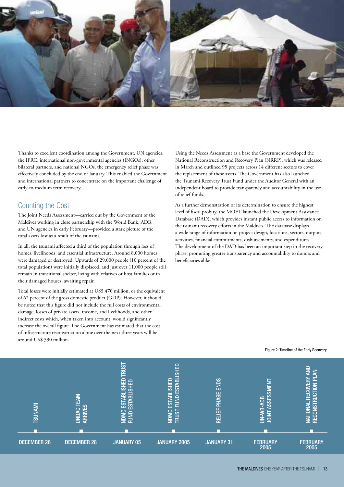

Thanks to excellent coordination among the Government, UN agencies, the IFRC, international non-governmental agencies (INGOs), other bilateral partners, and national NGOs, the emergency relief phase was effectively concluded by the end of January. This enabled the Government and international partners to concentrate on the important challenge of early-to-medium term recovery.

### **Counting the Cost**

The Joint Needs Assessment-carried out by the Government of the Maldives working in close partnership with the World Bank, ADB, and UN agencies in early February-provided a stark picture of the total assets lost as a result of the tsunami.

In all, the tsunami affected a third of the population through loss of homes, livelihoods, and essential infrastructure. Around 8,000 homes were damaged or destroyed. Upwards of 29,000 people (10 percent of the total population) were initially displaced, and just over 11,000 people still remain in transitional shelter, living with relatives or host families or in their damaged houses, awaiting repair.

Total losses were initially estimated at US\$ 470 million, or the equivalent of 62 percent of the gross domestic product (GDP). However, it should be noted that this figure did not include the full costs of environmental damage, losses of private assets, income, and livelihoods, and other indirect costs which, when taken into account, would significantly increase the overall figure. The Government has estimated that the cost of infrastructure reconstruction alone over the next three years will be around US\$ 390 million.

Using the Needs Assessment as a base the Government developed the National Reconstruction and Recovery Plan (NRRP), which was released in March and outlined 95 projects across 14 different sectors to cover the replacement of these assets. The Government has also launched the Tsunami Recovery Trust Fund under the Auditor General with an independent board to provide transparency and accountability in the use of relief funds.

As a further demonstration of its determination to ensure the highest level of fiscal probity, the MOFT launched the Development Assistance Database (DAD), which provides instant public access to information on the tsunami recovery efforts in the Maldives. The database displays a wide range of information on project design, locations, sectors, outputs, activities, financial commitments, disbursements, and expenditures. The development of the DAD has been an important step in the recovery phase, promoting greater transparency and accountability to donors and beneficiaries alike.



Figure 2: Timeline of the Early Recovery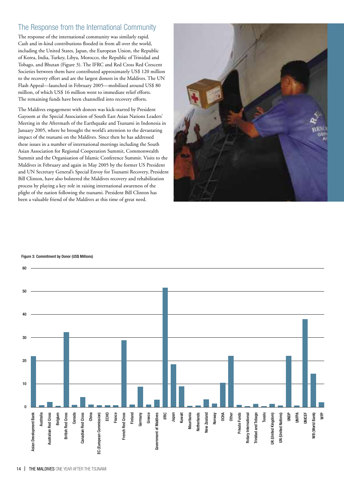### The Response from the International Community

The response of the international community was similarly rapid. Cash and in-kind contributions flooded in from all over the world, including the United States, Japan, the European Union, the Republic of Korea, India, Turkey, Libya, Morocco, the Republic of Trinidad and Tobago, and Bhutan (Figure 3). The IFRC and Red Cross Red Crescent Societies between them have contributed approximately US\$ 120 million to the recovery effort and are the largest donors in the Maldives. The UN Flash Appeal-launched in February 2005-mobilised around US\$ 80 million, of which US\$ 16 million went to immediate relief efforts. The remaining funds have been channelled into recovery efforts.

The Maldives engagement with donors was kick-started by President Gayoom at the Special Association of South East Asian Nations Leaders' Meeting in the Aftermath of the Earthquake and Tsunami in Indonesia in January 2005, where he brought the world's attention to the devastating impact of the tsunami on the Maldives. Since then he has addressed these issues in a number of international meetings including the South Asian Association for Regional Cooperation Summit, Commonwealth Summit and the Organisation of Islamic Conference Summit. Visits to the Maldives in February and again in May 2005 by the former US President and UN Secretary General's Special Envoy for Tsunami Recovery, President Bill Clinton, have also bolstered the Maldives recovery and rehabilitation process by playing a key role in raising international awareness of the plight of the nation following the tsunami. President Bill Clinton has been a valuable friend of the Maldives at this time of great need.



#### Figure 3: Commitment by Donor (US\$ Millions)

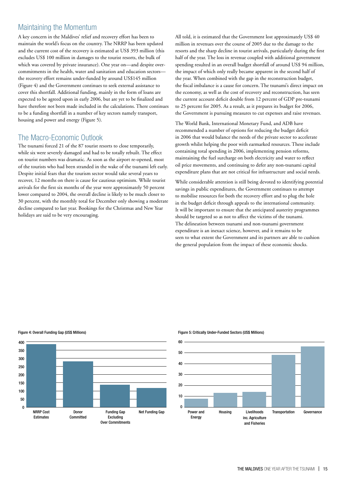### **Maintaining the Momentum**

A key concern in the Maldives' relief and recovery effort has been to maintain the world's focus on the country. The NRRP has been updated and the current cost of the recovery is estimated at US\$ 393 million (this excludes US\$ 100 million in damages to the tourist resorts, the bulk of which was covered by private insurance). One year on—and despite overcommitments in the health, water and sanitation and education sectorsthe recovery effort remains under-funded by around US\$145 million (Figure 4) and the Government continues to seek external assistance to cover this shortfall. Additional funding, mainly in the form of loans are expected to be agreed upon in early 2006, but are yet to be finalized and have therefore not been made included in the calculations. There continues to be a funding shortfall in a number of key sectors namely transport, housing and power and energy (Figure 5).

### The Macro-Economic Outlook

The tsunami forced 21 of the 87 tourist resorts to close temporarily, while six were severely damaged and had to be totally rebuilt. The effect on tourist numbers was dramatic. As soon as the airport re-opened, most of the tourists who had been stranded in the wake of the tsunami left early. Despite initial fears that the tourism sector would take several years to recover, 12 months on there is cause for cautious optimism. While tourist arrivals for the first six months of the year were approximately 50 percent lower compared to 2004, the overall decline is likely to be much closer to 30 percent, with the monthly total for December only showing a moderate decline compared to last year. Bookings for the Christmas and New Year holidays are said to be very encouraging.

All told, it is estimated that the Government lost approximately US\$ 40 million in revenues over the course of 2005 due to the damage to the resorts and the sharp decline in tourist arrivals, particularly during the first half of the year. The loss in revenue coupled with additional government spending resulted in an overall budget shortfall of around US\$ 94 million, the impact of which only really became apparent in the second half of the year. When combined with the gap in the reconstruction budget, the fiscal imbalance is a cause for concern. The tsunami's direct impact on the economy, as well as the cost of recovery and reconstruction, has seen the current account deficit double from 12 percent of GDP pre-tsunami to 25 percent for 2005. As a result, as it prepares its budget for 2006, the Government is pursuing measures to cut expenses and raise revenues.

The World Bank, International Monetary Fund, and ADB have recommended a number of options for reducing the budget deficit in 2006 that would balance the needs of the private sector to accelerate growth whilst helping the poor with earmarked resources. These include containing total spending in 2006, implementing pension reforms, maintaining the fuel surcharge on both electricity and water to reflect oil price movements, and continuing to defer any non-tsunami capital expenditure plans that are not critical for infrastructure and social needs.

While considerable attention is still being devoted to identifying potential savings in public expenditures, the Government continues to attempt to mobilise resources for both the recovery effort and to plug the hole in the budget deficit through appeals to the international community. It will be important to ensure that the anticipated austerity programmes should be targeted so as not to affect the victims of the tsunami. The delineation between tsunami and non-tsunami government expenditure is an inexact science, however, and it remains to be seen to what extent the Government and its partners are able to cushion the general population from the impact of these economic shocks.

#### Figure 4: Overall Funding Gap (US\$ Millions)



#### Figure 5: Critically Under-Funded Sectors (US\$ Millions)

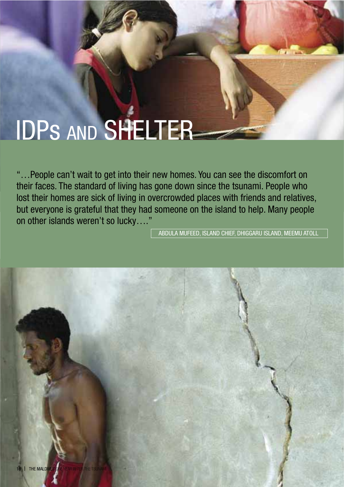### **IDPS AND SHELTER**

"...People can't wait to get into their new homes. You can see the discomfort on their faces. The standard of living has gone down since the tsunami. People who lost their homes are sick of living in overcrowded places with friends and relatives, but everyone is grateful that they had someone on the island to help. Many people on other islands weren't so lucky...."

ABDULA MUFEED, ISLAND CHIEF, DHIGGARU ISLAND, MEEMU ATOLL

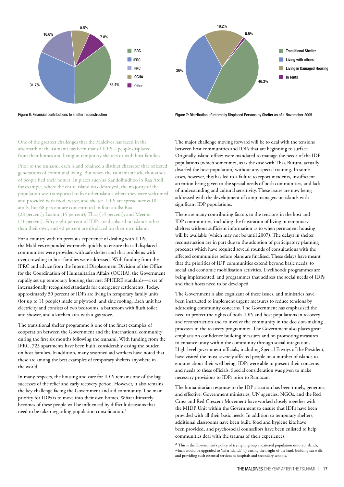

18 2%  $0.50$ **Transitional Shelter** Living with others **Living in Damaged Housing**  $250/$ In Tents 46.3%

Figure 6: Financial contributions to shelter reconstruction

Figure 7: Distribution of Internally Displaced Persons by Shelter as of 1 Novemeber 2005

One of the greatest challenges that the Maldives has faced in the aftermath of the tsunami has been that of IDPs-people displaced from their homes and living in temporary shelters or with host families.

Prior to the tsunami, each island retained a distinct character that reflected generations of communal living. But when the tsunami struck, thousands of people fled their homes. In places such as Kandolhudhoo in Raa Atoll, for example, where the entire island was destroyed, the majority of the population was transported to five other islands where they were welcomed and provided with food, water, and shelter. IDPs are spread across 18 atolls, but 68 percent are concentrated in four atolls: Raa (28 percent); Laamu (15 percent); Thaa (14 percent); and Meemu (11 percent). Fifty-eight percent of IDPs are displaced on islands other than their own, and 42 percent are displaced on their own island.

For a country with no previous experience of dealing with IDPs, the Maldives responded extremely quickly to ensure that all displaced communities were provided with safe shelter and that problems with over-crowding in host families were addressed. With funding from the IFRC and advice from the Internal Displacement Division of the Office for the Coordination of Humanitarian Affairs (OCHA), the Government rapidly set up temporary housing that met SPHERE standards-a set of internationally recognised standards for emergency settlements. Today, approximately 50 percent of IDPs are living in temporary family units (for up to 11 people) made of plywood, and zinc roofing. Each unit has electricity and consists of two bedrooms, a bathroom with flush toilet and shower, and a kitchen area with a gas stove.

The transitional shelter programme is one of the finest examples of cooperation between the Government and the international community during the first six months following the tsunami. With funding from the IFRC, 725 apartments have been built, considerably easing the burden on host families. In addition, many seasoned aid workers have noted that these are among the best examples of temporary shelters anywhere in the world.

In many respects, the housing and care for IDPs remains one of the big successes of the relief and early recovery period. However, it also remains the key challenge facing the Government and aid community. The main priority for IDPs is to move into their own homes. What ultimately becomes of these people will be influenced by difficult decisions that need to be taken regarding population consolidation.<sup>2</sup>

The major challenge moving forward will be to deal with the tensions between host communities and IDPs that are beginning to surface. Originally, island offices were mandated to manage the needs of the IDP populations (which sometimes, as is the case with Thaa Buruni, actually dwarfed the host population) without any special training. In some cases, however, this has led to a failure to report incidents, insufficient attention being given to the special needs of both communities, and lack of understanding and cultural sensitivity. These issues are now being addressed with the development of camp managers on islands with significant IDP populations.

There are many contributing factors to the tensions in the host and IDP communities, including the frustration of living in temporary shelters without sufficient information as to when permanent housing will be available (which may not be until 2007). The delays in shelter reconstruction are in part due to the adoption of participatory planning processes which have required several rounds of consultations with the affected communities before plans are finalised. These delays have meant that the priorities of IDP communities extend beyond basic needs, to social and economic mobilisation activities. Livelihoods programmes are being implemented, and programmes that address the social needs of IDPs and their hosts need to be developed.

The Government is also cognizant of these issues, and ministries have been instructed to implement urgent measures to reduce tensions by addressing community concerns. The Government has emphasized the need to protect the rights of both IDPs and host populations in recovery and reconstruction and to involve the community in the decision-making processes in the recovery programmes. The Government also places great emphasis on confidence building measures and on promoting measures to enhance unity within the community through social integration. High-level government officials, including Special Envoys of the President, have visited the most severely affected people on a number of islands to enquire about their well being. IDPs were able to present their concerns and needs to these officials. Special consideration was given to make necessary provisions to IDPs prior to Ramazan.

The humanitarian response to the IDP situation has been timely, generous, and effective. Government ministries, UN agencies, NGOs, and the Red Cross and Red Crescent Movement have worked closely together with the MIDP Unit within the Government to ensure that IDPs have been provided with all their basic needs. In addition to temporary shelters, additional classrooms have been built, food and hygiene kits have been provided, and psychosocial counsellors have been enlisted to help communities deal with the trauma of their experiences.

 $^2$  This is the Government's policy of trying to group a scattered population onto 20 islands, which would be upgraded to "safer islands" by raising the height of the land, building sea walls, and providing such essential services as hospitals and secondary schools.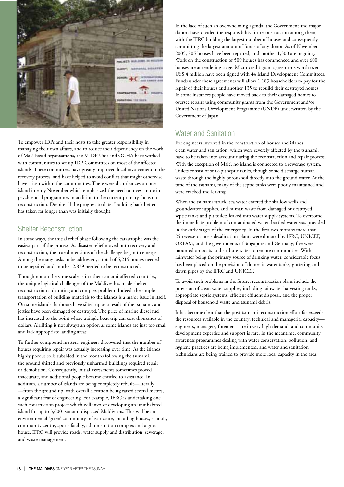

To empower IDPs and their hosts to take greater responsibility in managing their own affairs, and to reduce their dependency on the work of Malé-based organisations, the MIDP Unit and OCHA have worked with communities to set up IDP Committees on most of the affected islands. These committees have greatly improved local involvement in the recovery process, and have helped to avoid conflict that might otherwise have arisen within the communities. There were disturbances on one island in early November which emphasized the need to invest more in psychosocial programmes in addition to the current primary focus on reconstruction. Despite all the progress to date, 'building back better' has taken far longer than was initially thought.

### **Shelter Reconstruction**

In some ways, the initial relief phase following the catastrophe was the easiest part of the process. As disaster relief moved onto recovery and reconstruction, the true dimensions of the challenge began to emerge. Among the many tasks to be addressed, a total of 5,215 houses needed to be repaired and another 2,879 needed to be reconstructed.

Though not on the same scale as in other tsunami-affected countries, the unique logistical challenges of the Maldives has made shelter reconstruction a daunting and complex problem. Indeed, the simple transportation of building materials to the islands is a major issue in itself. On some islands, harbours have silted up as a result of the tsunami, and jetties have been damaged or destroyed. The price of marine diesel fuel has increased to the point where a single boat trip can cost thousands of dollars. Airlifting is not always an option as some islands are just too small and lack appropriate landing areas.

To further compound matters, engineers discovered that the number of houses requiring repair was actually increasing over time. As the islands' highly porous soils subsided in the months following the tsunami, the ground shifted and previously unharmed buildings required repair or demolition. Consequently, initial assessments sometimes proved inaccurate, and additional people became entitled to assistance. In addition, a number of islands are being completely rebuilt-literally -from the ground up, with overall elevation being raised several metres, a significant feat of engineering. For example, IFRC is undertaking one such construction project which will involve developing an uninhabited island for up to 3,600 tsunami-displaced Maldivians. This will be an environmental 'green' community infastructure, including houses, schools, community centre, sports facility, administration complex and a guest house. IFRC will provide roads, water supply and distribution, sewerage, and waste management.

In the face of such an overwhelming agenda, the Government and major donors have divided the responsibility for reconstruction among them, with the IFRC building the largest number of houses and consequently committing the largest amount of funds of any donor. As of November 2005, 805 houses have been repaired, and another 1,300 are ongoing. Work on the construction of 509 houses has commenced and over 600 houses are at tendering stage. Micro-credit grant agreements worth over US\$ 4 million have been signed with 44 Island Development Committees. Funds under these agreements will allow 1,183 householders to pay for the repair of their houses and another 135 to rebuild their destroyed homes. In some instances people have moved back to their damaged homes to oversee repairs using community grants from the Government and/or United Nations Development Programme (UNDP) underwritten by the Government of Japan.

### **Water and Sanitation**

For engineers involved in the construction of houses and islands, clean water and sanitation, which were severely affected by the tsunami, have to be taken into account during the reconstruction and repair process. With the exception of Malé, no island is connected to a sewerage system. Toilets consist of soak-pit septic tanks, though some discharge human waste through the highly porous soil directly into the ground water. At the time of the tsunami, many of the septic tanks were poorly maintained and were cracked and leaking.

When the tsunami struck, sea water entered the shallow wells and groundwater supplies, and human waste from damaged or destroyed septic tanks and pit toilets leaked into water supply systems. To overcome the immediate problem of contaminated water, bottled water was provided in the early stages of the emergency. In the first two months more than 25 reverse-osmosis desalination plants were donated by IFRC, UNICEF, OXFAM, and the governments of Singapore and Germany; five were mounted on boats to distribute water to remote communities. With rainwater being the primary source of drinking water, considerable focus has been placed on the provision of domestic water tanks, guttering and down pipes by the IFRC and UNICEF.

To avoid such problems in the future, reconstruction plans include the provision of clean water supplies, including rainwater harvesting tanks, appropriate septic systems, efficient effluent disposal, and the proper disposal of household waste and tsunami debris.

It has become clear that the post-tsunami reconstruction effort far exceeds the resources available in the country; technical and managerial capacityengineers, managers, foremen—are in very high demand, and community development expertise and support is rare. In the meantime, community awareness programmes dealing with water conservation, pollution, and hygiene practices are being implemented, and water and sanitation technicians are being trained to provide more local capacity in the area.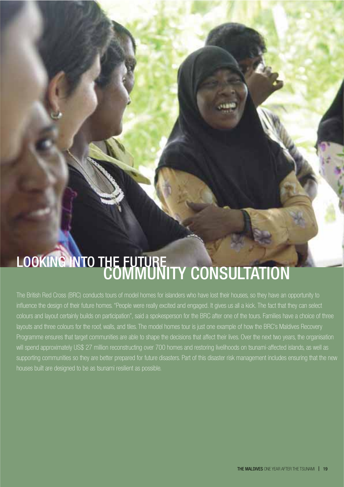### LOOKING INTO THE FUTURE<br>COMMUNITY CONSULTATION

The British Red Cross (BRC) conducts tours of model homes for islanders who have lost their houses, so they have an opportunity to influence the design of their future homes. "People were really excited and engaged. It gives us all a kick. The fact that they can select colours and layout certainly builds on participation", said a spokesperson for the BRC after one of the tours. Families have a choice of three layouts and three colours for the roof, walls, and tiles. The model homes tour is just one example of how the BRC's Maldives Recovery Programme ensures that target communities are able to shape the decisions that affect their lives. Over the next two years, the organisation will spend approximately US\$ 27 million reconstructing over 700 homes and restoring livelihoods on tsunami-affected islands, as well as supporting communities so they are better prepared for future disasters. Part of this disaster risk management includes ensuring that the new houses built are designed to be as tsunami resilient as possible.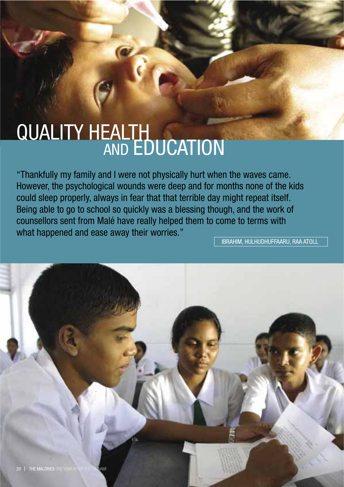# QUALITY HEALTH<br>AND EDUCATION

"Thankfully my family and I were not physically hurt when the waves came. However, the psychological wounds were deep and for months none of the kids could sleep properly, always in fear that that terrible day might repeat itself. Being able to go to school so quickly was a blessing though, and the work of counsellors sent from Malé have really helped them to come to terms with what happened and ease away their worries."

**IBRAHIM, HULHUDHUFFAARU, RAA ATOLL** 

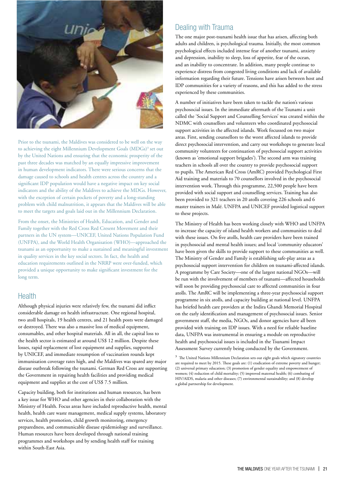

Prior to the tsunami, the Maldives was considered to be well on the way to achieving the eight Millennium Development Goals (MDGs)<sup>3</sup> set out by the United Nations and ensuring that the economic prosperity of the past three decades was matched by an equally impressive improvement in human development indicators. There were serious concerns that the damage caused to schools and health centres across the country and a significant IDP population would have a negative impact on key social indicators and the ability of the Maldives to achieve the MDGs. However, with the exception of certain pockets of poverty and a long-standing problem with child malnutrition, it appears that the Maldives will be able to meet the targets and goals laid out in the Millennium Declaration.

From the onset, the Ministries of Health, Education, and Gender and Family together with the Red Cross Red Cresent Movement and their partners in the UN system-UNICEF, United Nations Population Fund (UNFPA), and the World Health Organisation (WHO)—approached the tsunami as an opportunity to make a sustained and meaningful investment in quality services in the key social sectors. In fact, the health and education requirements outlined in the NRRP were over-funded, which provided a unique opportunity to make significant investment for the long term.

### **Health**

Although physical injuries were relatively few, the tsunami did inflict considerable damage on health infrastructure. One regional hospital, two atoll hospitals, 19 health centres, and 21 health posts were damaged or destroved. There was also a massive loss of medical equipment, consumables, and other hospital materials. All in all, the capital loss to the health sector is estimated at around US\$ 12 million. Despite these losses, rapid replacement of lost equipment and supplies, supported by UNICEF, and immediate resumption of vaccination rounds kept immunisation coverage rates high, and the Maldives was spared any major disease outbreak following the tsunami. German Red Cross are supporting the Government in repairing health facilities and providing medical equipment and supplies at the cost of US\$ 7.5 million.

Capacity building, both for institutions and human resources, has been a key issue for WHO and other agencies in their collaboration with the Ministry of Health. Focus areas have included reproductive health, mental health, health care waste management, medical supply systems, laboratory services, health promotion, child growth monitoring, emergency preparedness, and communicable disease epidemiology and surveillance. Human resources have been developed through national training programmes and workshops and by sending health staff for training within South-East Asia.

### Dealing with Trauma

The one major post-tsunami health issue that has arisen, affecting both adults and children, is psychological trauma. Initially, the most common psychological effects included intense fear of another tsunami, anxiety and depression, inability to sleep, loss of appetite, fear of the ocean, and an inability to concentrate. In addition, many people continue to experience distress from congested living conditions and lack of available information regarding their future. Tensions have arisen between host and IDP communities for a variety of reasons, and this has added to the stress experienced by these communities.

A number of initiatives have been taken to tackle the nation's various psychosocial issues. In the immediate aftermath of the Tsunami a unit called the 'Social Support and Counselling Services' was created within the NDMC with counsellors and volunteers who coordinated psychosocial support activities in the affected islands. Work focussed on two major areas. First, sending counsellors to the worst affected islands to provide direct psychosocial intervention, and carry out workshops to generate local community volunteers for continuation of psychosocial support activities (known as 'emotional support brigades'). The second arm was training teachers in schools all over the country to provide psychosocial support to pupils. The American Red Cross (AmRC) provided Psychological First Aid training and materials to 70 counsellors involved in the psychosocial intervention work. Through this programme, 22,500 people have been provided with social support and counselling services. Training has also been provided to 321 teachers in 20 atolls covering 226 schools and 6 master trainers in Malé. UNFPA and UNICEF provided logistical support to these projects.

The Ministry of Health has been working closely with WHO and UNFPA to increase the capacity of island health workers and communities to deal with these issues. On five atolls, health care providers have been trained in psychosocial and mental health issues; and local 'community educators' have been given the skills to provide support to these communities as well. The Ministry of Gender and Family is establishing safe-play areas as a psychosocial support intervention for children on tsunami-affected islands. A programme by Care Society-one of the largest national NGOs-will be run with the involvement of members of tsunami-affected households will soon be providing psychosocial care to affected communities in four atolls. The AmRC will be implementing a three-year psychosocial support programme in six atolls, and capacity building at national level. UNFPA has briefed health care providers at the Indira Ghandi Memorial Hospital on the early identification and management of psychosocial issues. Senior government staff, the media, NGOs, and donor agencies have all been provided with training on IDP issues. With a need for reliable baseline data, UNFPA was instrumental in ensuring a module on reproductive health and psychosocial issues is included in the Tsunami Impact Assessment Survey currently being conducted by the Government.

<sup>&</sup>lt;sup>3</sup> The United Nations Millennium Declaration sets out eight goals which signatory countries are required to meet by 2015. These goals are: (1) eradication of extreme poverty and hunger; (2) universal primary education; (3) promotion of gender equality and empowerment of women; (4) reduction of child mortality; (5) improved maternal health; (6) combating of HIV/AIDS, malaria and other diseases; (7) environmental sustainability; and (8) develop a global partnership for development.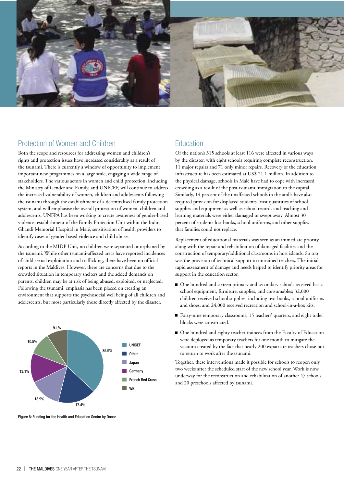

### Protection of Women and Children

Both the scope and resources for addressing women and children's rights and protection issues have increased considerably as a result of the tsunami. There is currently a window of opportunity to implement important new programmes on a large scale, engaging a wide range of stakeholders. The various actors in women and child protection, including the Ministry of Gender and Family, and UNICEF, will continue to address the increased vulnerability of women, children and adolescents following the tsunami through the establishment of a decentralised family protection system, and will emphasise the overall protection of women, children and adolescents. UNFPA has been working to create awareness of gender-based violence, establishment of the Family Protection Unit within the Indira Ghandi Memorial Hospital in Malé, sensitisation of health providers to identify cases of gender-based violence and child abuse.

According to the MIDP Unit, no children were separated or orphaned by the tsunami. While other tsunami-affected areas have reported incidences of child sexual exploitation and trafficking, there have been no official reports in the Maldives. However, there are concerns that due to the crowded situation in temporary shelters and the added demands on parents, children may be at risk of being abused, exploited, or neglected. Following the tsunami, emphasis has been placed on creating an environment that supports the psychosocial well being of all children and adolescents, but most particularly those directly affected by the disaster.



### **Fducation**

Of the nation's 315 schools at least 116 were affected in various ways by the disaster, with eight schools requiring complete reconstruction, 11 major repairs and 71 only minor repairs. Recovery of the education infrastructure has been estimated at US\$ 21.1 million. In addition to the physical damage, schools in Malé have had to cope with increased crowding as a result of the post-tsunami immigration to the capital. Similarly, 14 percent of the unaffected schools in the atolls have also required provision for displaced students. Vast quantities of school supplies and equipment as well as school records and teaching and learning materials were either damaged or swept away. Almost 30 percent of students lost books, school uniforms, and other supplies that families could not replace.

Replacement of educational materials was seen as an immediate priority, along with the repair and rehabilitation of damaged facilities and the construction of temporary/additional classrooms in host islands. So too was the provision of technical support to untrained teachers. The initial rapid assessment of damage and needs helped to identify priority areas for support in the education sector.

- One hundred and sixteen primary and secondary schools received basic school equipment, furniture, supplies, and consumables; 32,000 children received school supplies, including text books, school uniforms and shoes; and 24,000 received recreation and school-in-a-box kits.
- Forty-nine temporary classrooms, 15 teachers' quarters, and eight toilet blocks were constructed.
- One hundred and eighty teacher trainees from the Faculty of Education were deployed as temporary teachers for one month to mitigate the vacuum created by the fact that nearly 200 expatriate teachers chose not to return to work after the tsunami.

Together, these interventions made it possible for schools to reopen only two weeks after the scheduled start of the new school year. Work is now underway for the reconstruction and rehabilitation of another 47 schools and 20 preschools affected by tsunami.

Figure 8: Funding for the Health and Education Sector by Donor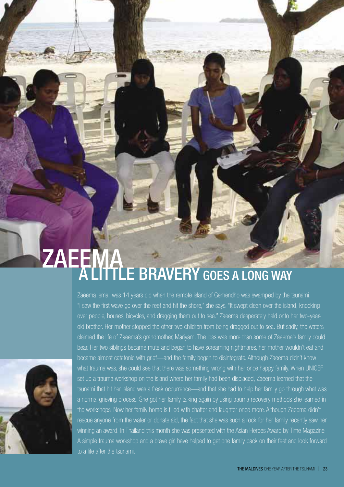# ZAEEMA<br>ALITTLE BRAVERY GOES A LONG WAY



Zaeema Ismail was 14 years old when the remote island of Gemendho was swamped by the tsunami. "I saw the first wave go over the reef and hit the shore," she says. "It swept clean over the island, knocking over people, houses, bicycles, and dragging them out to sea." Zaeema desperately held onto her two-yearold brother. Her mother stopped the other two children from being dragged out to sea. But sadly, the waters claimed the life of Zaeema's grandmother, Mariyam. The loss was more than some of Zaeema's family could bear. Her two siblings became mute and began to have screaming nightmares, her mother wouldn't eat and became almost catatonic with grief—and the family began to disintegrate. Although Zaeema didn't know what trauma was, she could see that there was something wrong with her once happy family. When UNICEF set up a trauma workshop on the island where her family had been displaced. Zaeema learned that the tsunami that hit her island was a freak occurrence—and that she had to help her family go through what was a normal grieving process. She got her family talking again by using trauma recovery methods she learned in the workshops. Now her family home is filled with chatter and laughter once more. Although Zaeema didn't rescue anyone from the water or donate aid, the fact that she was such a rock for her family recently saw her winning an award. In Thailand this month she was presented with the Asian Heroes Award by Time Magazine. A simple trauma workshop and a brave girl have helped to get one family back on their feet and look forward to a life after the tsunami.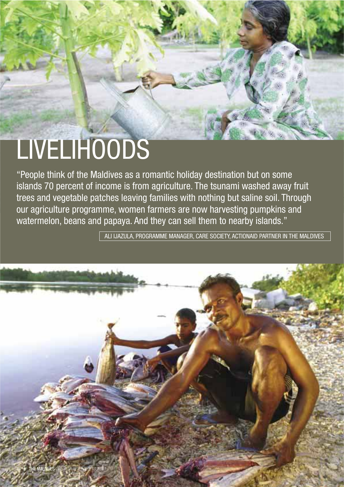### LIVELIHOODS

"People think of the Maldives as a romantic holiday destination but on some islands 70 percent of income is from agriculture. The tsunami washed away fruit trees and vegetable patches leaving families with nothing but saline soil. Through our agriculture programme, women farmers are now harvesting pumpkins and watermelon, beans and papaya. And they can sell them to nearby islands."

ALI IJAZULA, PROGRAMME MANAGER, CARE SOCIETY, ACTIONAID PARTNER IN THE MALDIVES

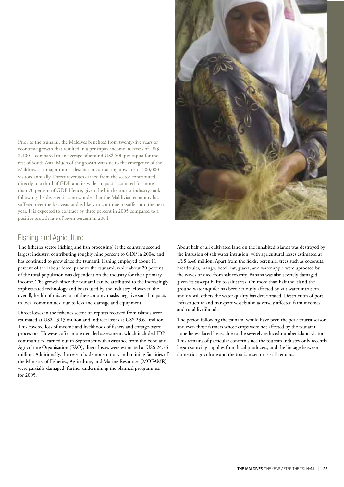Prior to the tsunami, the Maldives benefited from twenty-five years of economic growth that resulted in a per capita income in excess of US\$ 2,100—compared to an average of around US\$ 500 per capita for the rest of South Asia. Much of the growth was due to the emergence of the Maldives as a major tourist destination, attracting upwards of 500,000 visitors annually. Direct revenues earned from the sector contributed directly to a third of GDP, and its wider impact accounted for more than 70 percent of GDP. Hence, given the hit the tourist industry took following the disaster, it is no wonder that the Maldivian economy has suffered over the last year, and is likely to continue to suffer into the next year. It is expected to contract by three percent in 2005 compared to a positive growth rate of seven percent in 2004.

### **Fishing and Agriculture**

The fisheries sector (fishing and fish processing) is the country's second largest industry, contributing roughly nine percent to GDP in 2004, and has continued to grow since the tsunami. Fishing employed about 11 percent of the labour force, prior to the tsunami, while about 20 percent of the total population was dependent on the industry for their primary income. The growth since the tsunami can be attributed to the increasingly sophisticated technology and boats used by the industry. However, the overall, health of this sector of the economy masks negative social impacts in local communities, due to loss and damage and equipment.

Direct losses in the fisheries sector on reports received from islands were estimated at US\$ 13.13 million and indirect losses at US\$ 23.61 million. This covered loss of income and livelihoods of fishers and cottage-based processors. However, after more detailed assessment, which included IDP communities, carried out in September with assistance from the Food and Agriculture Organisation (FAO), direct losses were estimated at US\$ 24.75 million. Additionally, the research, demonstration, and training facilities of the Ministry of Fisheries, Agriculture, and Marine Resources (MOFAMR) were partially damaged, further undermining the planned programmes for 2005.



About half of all cultivated land on the inhabited islands was destroved by the intrusion of salt water intrusion, with agricultural losses estimated at US\$ 6.46 million. Apart from the fields, perennial trees such as coconuts, breadfruits, mango, betel leaf, guava, and water apple were uprooted by the waves or died from salt toxicity. Banana was also severely damaged given its susceptibility to salt stress. On more than half the island the ground water aquifer has been seriously affected by salt water intrusion, and on still others the water quality has deteriorated. Destruction of port infrastructure and transport vessels also adversely affected farm incomes and rural livelihoods.

The period following the tsunami would have been the peak tourist season; and even those farmers whose crops were not affected by the tsunami nonetheless faced losses due to the severely reduced number island visitors. This remains of particular concern since the tourism industry only recently began sourcing supplies from local producers, and the linkage between domestic agriculture and the tourism sector is still tenuous.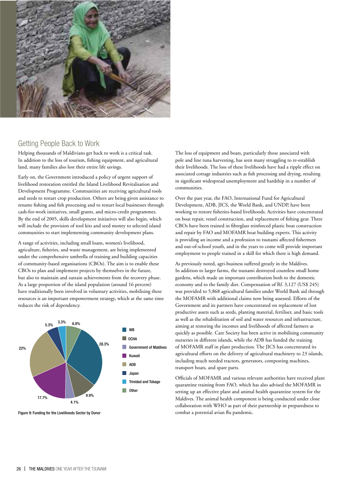

### Getting People Back to Work

Helping thousands of Maldivians get back to work is a critical task. In addition to the loss of tourism, fishing equipment, and agricultural land, many families also lost their entire life savings.

Early on, the Government introduced a policy of urgent support of livelihood restoration entitled the Island Livelihood Revitalisation and Development Programme. Communities are receiving agricultural tools and seeds to restart crop production. Others are being given assistance to resume fishing and fish processing and to restart local businesses through cash-for-work initiatives, small grants, and micro-credit programmes. By the end of 2005, skills development initiatives will also begin, which will include the provision of tool kits and seed money to selected island communities to start implementing community development plans.

A range of activities, including small loans, women's livelihood, agriculture, fisheries, and waste management, are being implemented under the comprehensive umbrella of training and building capacities of community-based organisations (CBOs). The aim is to enable these CBOs to plan and implement projects by themselves in the future, but also to maintain and sustain achievements from the recovery phase. As a large proportion of the island population (around 16 percent) have traditionally been involved in voluntary activities, mobilising these resources is an important empowerment strategy, which at the same time reduces the risk of dependency.



Figure 9: Funding for the Livelihoods Sector by Donor

The loss of equipment and boats, particularly those associated with pole and line tuna harvesting, has seen many struggling to re-establish their livelihoods. The loss of these livelihoods have had a ripple effect on associated cottage industries such as fish processing and drying, resulting in significant widespread unemployment and hardship in a number of communities.

Over the past year, the FAO, International Fund for Agricultural Development, ADB, JICS, the World Bank, and UNDP, have been working to restore fisheries-based livelihoods. Activities have concentrated on boat repair, vessel construction, and replacement of fishing gear. Three CBOs have been trained in fibreglass reinforced plastic boat construction and repair by FAO and MOFAMR boat building experts. This activity is providing an income and a profession to tsunami affected fishermen and out-of-school youth, and in the years to come will provide important employment to people trained in a skill for which there is high demand.

As previously noted, agri-business suffered greatly in the Maldives. In addition to larger farms, the tsunami destroved countless small home gardens, which made an important contribution both to the domestic economy and to the family diet. Compensation of Rf. 3,127 (US\$ 245) was provided to 5,868 agricultural families under World Bank aid through the MOFAMR with additional claims now being assessed. Efforts of the Government and its partners have concentrated on replacement of lost productive assets such as seeds, planting material, fertiliser, and basic tools as well as the rehabilitation of soil and water resources and infrastructure, aiming at restoring the incomes and livelihoods of affected farmers as quickly as possible. Care Society has been active in mobilising community nurseries in different islands, while the ADB has funded the training of MOFAMR staff in plant production. The JICS has concentrated its agricultural efforts on the delivery of agricultural machinery to 23 islands, including much needed tractors, generators, composting machines, transport boats, and spare parts.

Officials of MOFAMR and various relevant authorities have received plant quarantine training from FAO, which has also advised the MOFAMR in setting up an effective plant and animal health quarantine system for the Maldives. The animal health component is being conducted under close collaboration with WHO as part of their partnership in preparedness to combat a potential avian flu pandemic.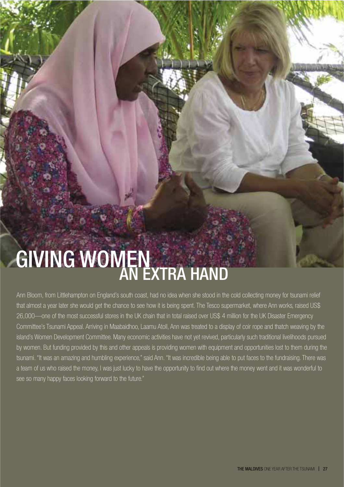# **GIVING WOMEN**

Ann Bloom, from Littlehampton on England's south coast, had no idea when she stood in the cold collecting money for tsunami relief that almost a year later she would get the chance to see how it is being spent. The Tesco supermarket, where Ann works, raised US\$ 26,000—one of the most successful stores in the UK chain that in total raised over US\$ 4 million for the UK Disaster Emergency Committee's Tsunami Appeal. Arriving in Maabaidhoo, Laamu Atoll, Ann was treated to a display of coir rope and thatch weaving by the island's Women Development Committee. Many economic activities have not yet revived, particularly such traditional livelihoods pursued by women. But funding provided by this and other appeals is providing women with equipment and opportunities lost to them during the tsunami. "It was an amazing and humbling experience," said Ann. "It was incredible being able to put faces to the fundraising. There was a team of us who raised the money, I was just lucky to have the opportunity to find out where the money went and it was wonderful to see so many happy faces looking forward to the future."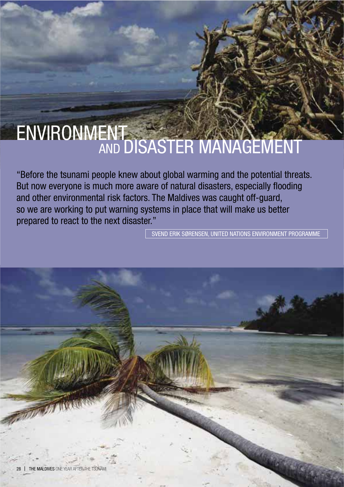### ENVIRONMENT<br>AND DISASTER MANAGEMENT

"Before the tsunami people knew about global warming and the potential threats. But now everyone is much more aware of natural disasters, especially flooding and other environmental risk factors. The Maldives was caught off-guard, so we are working to put warning systems in place that will make us better prepared to react to the next disaster."

SVEND ERIK SØRENSEN, UNITED NATIONS ENVIRONMENT PROGRAMME

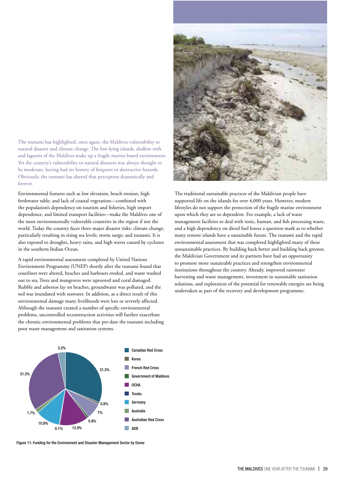The tsunami has highlighted, once again, the Maldives vulnerability to natural disaster and climate change. The low-lying islands, shallow reefs and lagoons of the Maldives make up a fragile marine-based environment. Yet the country's vulnerability to natural disasters was always thought to be moderate, having had no history of frequent or destructive hazards. Obviously, the tsunami has altered that perception dramatically and forever

Environmental features such as low elevation, beach erosion, high freshwater table, and lack of coastal vegetation—combined with the population's dependency on tourism and fisheries, high import dependence, and limited transport facilities—make the Maldives one of the most environmentally vulnerable countries in the region if not the world. Today the country faces three major disaster risks: climate change, particularly resulting in rising sea levels; storm surge; and tsunami. It is also exposed to droughts, heavy rains, and high waves caused by cyclones in the southern Indian Ocean.

A rapid environmental assessment completed by United Nations Environment Programme (UNEP) shortly after the tsunami found that coastlines were altered, beaches and harbours eroded, and waste washed out to sea. Trees and mangroves were uprooted and coral damaged. Rubble and asbestos lay on beaches, groundwater was polluted, and the soil was inundated with seawater. In addition, as a direct result of this environmental damage many livelihoods were lost or severely affected. Although the tsunami created a number of specific environmental problems, uncontrolled reconstruction activities will further exacerbate the chronic environmental problems that pre-date the tsunami including poor waste management and sanitation systems.



Figure 11: Funding for the Environment and Disaster Management Sector by Donor



The traditional sustainable practices of the Maldivian people have supported life on the islands for over 4,000 years. However, modern lifestyles do not support the protection of the fragile marine environment upon which they are so dependent. For example, a lack of waste management facilities to deal with toxic, human, and fish processing waste, and a high dependency on diesel fuel leaves a question mark as to whether many remote islands have a sustainable future. The tsunami and the rapid environmental assessment that was completed highlighted many of these unsustainable practices. By building back better and building back greener, the Maldivian Government and its partners have had an opportunity to promote more sustainable practices and strengthen environmental institutions throughout the country. Already, improved rainwater harvesting and waste management, investment in sustainable sanitation solutions, and exploration of the potential for renewable energies are being undertaken as part of the recovery and development programme.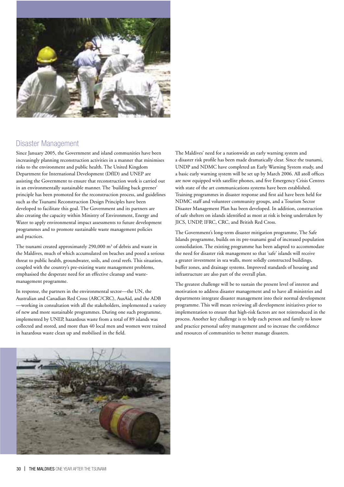

### **Disaster Management**

Since January 2005, the Government and island communities have been increasingly planning reconstruction activities in a manner that minimises risks to the environment and public health. The United Kingdom Department for International Development (DfID) and UNEP are assisting the Government to ensure that reconstruction work is carried out in an environmentally sustainable manner. The 'building back greener' principle has been promoted for the reconstruction process, and guidelines such as the Tsunami Reconstruction Design Principles have been developed to facilitate this goal. The Government and its partners are also creating the capacity within Ministry of Environment, Energy and Water to apply environmental impact assessments to future development programmes and to promote sustainable waste management policies and practices.

The tsunami created approximately 290,000 m<sup>3</sup> of debris and waste in the Maldives, much of which accumulated on beaches and posed a serious threat to public health, groundwater, soils, and coral reefs. This situation, coupled with the country's pre-existing waste management problems, emphasised the desperate need for an effective cleanup and wastemanagement programme.

In response, the partners in the environmental sector-the UN, the Australian and Canadian Red Cross (ARC/CRC), AusAid, and the ADB -working in consultation with all the stakeholders, implemented a variety of new and more sustainable programmes. During one such programme, implemented by UNEP, hazardous waste from a total of 89 islands was collected and stored, and more than 40 local men and women were trained in hazardous waste clean up and mobilised in the field.

The Maldives' need for a nationwide an early warning system and a disaster risk profile has been made dramatically clear. Since the tsunami, UNDP and NDMC have completed an Early Warning System study, and a basic early warning system will be set up by March 2006. All atoll offices are now equipped with satellite phones, and five Emergency Crisis Centres with state of the art communications systems have been established. Training programmes in disaster response and first aid have been held for NDMC staff and volunteer community groups, and a Tourism Sector Disaster Management Plan has been developed. In addition, construction of safe shelters on islands identified as most at risk is being undertaken by JICS, UNDP, IFRC, CRC, and British Red Cross.

The Government's long-term disaster mitigation programme, The Safe Islands programme, builds on its pre-tsunami goal of increased population consolidation. The existing programme has been adapted to accommodate the need for disaster risk management so that 'safe' islands will receive a greater investment in sea walls, more solidly constructed buildings, buffer zones, and drainage systems. Improved standards of housing and infrastructure are also part of the overall plan.

The greatest challenge will be to sustain the present level of interest and motivation to address disaster management and to have all ministries and departments integrate disaster management into their normal development programme. This will mean reviewing all development initiatives prior to implementation to ensure that high-risk factors are not reintroduced in the process. Another key challenge is to help each person and family to know and practice personal safety management and to increase the confidence and resources of communities to better manage disasters.

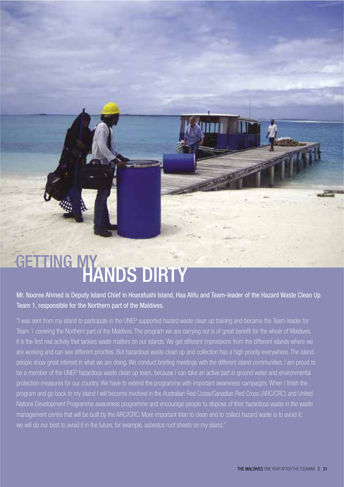### GETTING MY HANDS DIRTY

Mr. Nooree Ahmed is Deputy Island Chief in Hoarafushi Island, Haa Alifu and Team-leader of the Hazard Waste Clean Up Team 1, responsible for the Northern part of the Maldives.

"I was sent from my island to participate in the UNEP supported hazard waste clean up training and became the Team-leader for Team 1 covering the Northern part of the Maldives. The program we are carrying out is of great benefit for the whole of Maldives. It is the first real activity that tackles waste matters on our islands. We get different impressions from the different islands where we are working and can see different priorities. But hazardous waste clean up and collection has a high priority everywhere. The island people show great interest in what we are doing. We conduct briefing meetings with the different island communities. I am proud to be a member of the UNEP hazardous waste clean up team, because I can take an active part in ground water and environmental protection measures for our country. We have to extend the programme with important awareness campaigns. When I finish the program and go back to my island I will become involved in the Australian Red Cross/Canadian Red Cross (ARC/CRC) and United Nations Development Programme awareness programme and encourage people to dispose of their hazardous waste in the waste management centre that will be built by the ARC/CRC. More important than to clean and to collect hazard waste is to avoid it: we will do our best to avoid it in the future, for example, asbestos roof sheets on my island."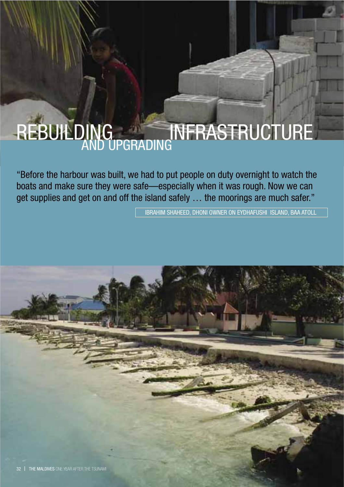# REBUILDING<br>AND UPGRADING

"Before the harbour was built, we had to put people on duty overnight to watch the boats and make sure they were safe-especially when it was rough. Now we can get supplies and get on and off the island safely ... the moorings are much safer."

**IBRAHIM SHAHEED. DHONI OWNER ON EYDHAFUSHI ISLAND, BAA ATOLL** 

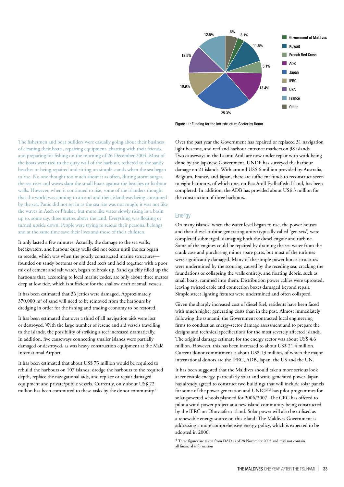

Figure 11: Funding for the Infrastructure Sector by Donor

The fishermen and boat builders were casually going about their business of cleaning their boats, repairing equipment, chatting with their friends, and preparing for fishing on the morning of 26 December 2004. Most of the boats were tied to the quay wall of the harbour, tethered to the sandy beaches or being repaired and sitting on simple stands when the sea began to rise. No one thought too much about it as often, during storm surges, the sea rises and waves slam the small boats against the beaches or harbour walls. However, when it continued to rise, some of the islanders thought that the world was coming to an end and their island was being consumed by the sea. Panic did not set in as the sea rise was not rough; it was not like the waves in Aceh or Phuket, but more like water slowly rising in a basin up to, some say, three metres above the land. Everything was floating or turned upside down. People were trying to rescue their personal belongs and at the same time save their lives and those of their children.

It only lasted a few minutes. Actually, the damage to the sea walls, breakwaters, and harbour quay walls did not occur until the sea began to recede, which was when the poorly constructed marine structuresfounded on sandy bottoms or old dead reefs and held together with a poor mix of cement and salt water, began to break up. Sand quickly filled up the harbours that, according to local marine codes, are only about three metres deep at low tide, which is sufficient for the shallow draft of small vessels.

It has been estimated that 36 jetties were damaged. Approximately 370,000 m<sup>3</sup> of sand will need to be removed from the harbours by dredging in order for the fishing and trading economy to be restored.

It has been estimated that over a third of all navigation aids were lost or destroyed. With the large number of rescue and aid vessels travelling to the islands, the possibility of striking a reef increased dramatically. In addition, five causeways connecting smaller islands were partially damaged or destroyed, as was heavy construction equipment at the Malé International Airport.

It has been estimated that about US\$ 73 million would be required to rebuild the harbours on 107 islands, dredge the harbours to the required depth, replace the navigational aids, and replace or repair damaged equipment and private/public vessels. Currently, only about US\$ 22 million has been committed to these tasks by the donor community.<sup>4</sup>

Over the past year the Government has repaired or replaced 31 navigation light beacons, and reef and harbour entrance markers on 38 islands. Two causeways in the Laamu Atoll are now under repair with work being done by the Japanese Government. UNDP has surveyed the harbour damage on 21 islands. With around US\$ 6 million provided by Australia, Belgium, France, and Japan, there are sufficient funds to reconstruct seven to eight harbours, of which one, on Baa Atoll Eydhafushi Island, has been completed. In addition, the ADB has provided about US\$ 3 million for the construction of three harbours.

#### Enerav

On many islands, when the water level began to rise, the power houses and their diesel-turbine generating units (typically called 'gen sets') were completed submerged, damaging both the diesel engine and turbine. Some of the engines could be repaired by draining the sea water from the crank case and purchasing minor spare parts, but most of the turbines were significantly damaged. Many of the simple power house structures were undermined by the scouring caused by the receding sea, cracking the foundations or collapsing the walls entirely, and floating debris, such as small boats, rammed into them. Distribution power cables were uprooted, leaving twisted cable and connection boxes damaged beyond repair. Simple street lighting fixtures were undermined and often collapsed.

Given the sharply increased cost of diesel fuel, residents have been faced with much higher generating costs than in the past. Almost immediately following the tsunami, the Government contracted local engineering firms to conduct an energy-sector damage assessment and to prepare the designs and technical specifications for the most severely affected islands. The original damage estimate for the energy sector was about US\$ 4.6 million. However, this has been increased to about US\$ 21.4 million. Current donor commitment is about US\$ 13 million, of which the major international donors are the IFRC, ADB, Japan, the US and the UN.

It has been suggested that the Maldives should take a more serious look at renewable energy, particularly solar and wind-generated power. Japan has already agreed to construct two buildings that will include solar panels for some of the power generation and UNICEF has pilot programmes for solar-powered schools planned for 2006/2007. The CRC has offered to pilot a wind-power project at a new island community being constructed by the IFRC on Dhuvaafaru island. Solar power will also be utilised as a renewable energy source on this island. The Maldives Government is addressing a more comprehensive energy policy, which is expected to be adopted in 2006.

 $4$  These figures are taken from DAD as of 28 November 2005 and may not contain all financial information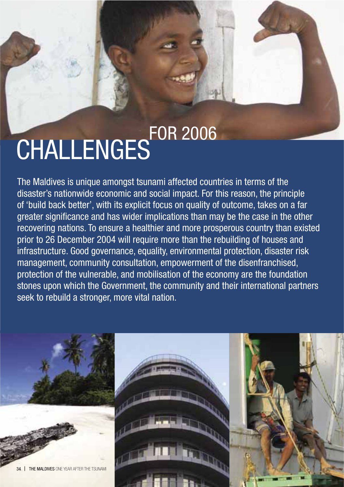# CHALLENGES<sup>FOR 2006</sup>

The Maldives is unique amongst tsunami affected countries in terms of the disaster's nationwide economic and social impact. For this reason, the principle of 'build back better', with its explicit focus on quality of outcome, takes on a far greater significance and has wider implications than may be the case in the other recovering nations. To ensure a healthier and more prosperous country than existed prior to 26 December 2004 will require more than the rebuilding of houses and infrastructure. Good governance, equality, environmental protection, disaster risk management, community consultation, empowerment of the disenfranchised, protection of the vulnerable, and mobilisation of the economy are the foundation stones upon which the Government, the community and their international partners seek to rebuild a stronger, more vital nation.

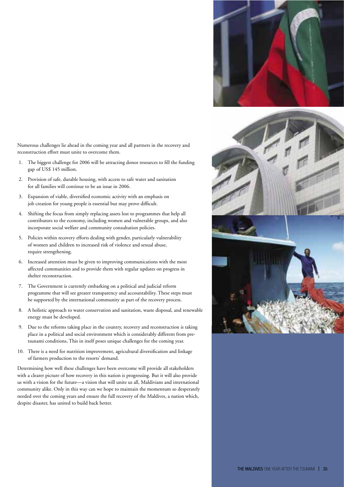

Numerous challenges lie ahead in the coming year and all partners in the recovery and reconstruction effort must unite to overcome them.

- The biggest challenge for 2006 will be attracting donor resources to fill the funding gap of US\$ 145 million.
- 2. Provision of safe, durable housing, with access to safe water and sanitation for all families will continue to be an issue in 2006.
- 3. Expansion of viable, diversified economic activity with an emphasis on job creation for young people is essential but may prove difficult.
- 4. Shifting the focus from simply replacing assets lost to programmes that help all contributors to the economy, including women and vulnerable groups, and also incorporate social welfare and community consultation policies.
- 5. Policies within recovery efforts dealing with gender, particularly vulnerability of women and children to increased risk of violence and sexual abuse, require strengthening.
- 6. Increased attention must be given to improving communications with the most affected communities and to provide them with regular updates on progress in shelter reconstruction.
- 7. The Government is currently embarking on a political and judicial reform programme that will see greater transparency and accountability. These steps must be supported by the international community as part of the recovery process.
- 8. A holistic approach to water conservation and sanitation, waste disposal, and renewable energy must be developed.
- 9. Due to the reforms taking place in the country, recovery and reconstruction is taking place in a political and social environment which is considerably different from pretsunami conditions, This in itself poses unique challenges for the coming year.
- 10. There is a need for nutrition improvement, agricultural diversification and linkage of farmers production to the resorts' demand.

Determining how well these challenges have been overcome will provide all stakeholders with a clearer picture of how recovery in this nation is progressing. But it will also provide us with a vision for the future—a vision that will unite us all, Maldivians and international community alike. Only in this way can we hope to maintain the momentum so desperately needed over the coming years and ensure the full recovery of the Maldives, a nation which, despite disaster, has united to build back better.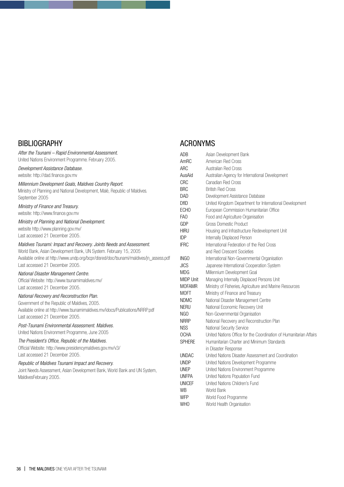### **BIBLIOGRAPHY**

| After the Tsunami – Rapid Environmental Assessment.                                    | A            |
|----------------------------------------------------------------------------------------|--------------|
| United Nations Environment Programme. February 2005.                                   | Α            |
| Development Assistance Database.                                                       | A            |
| website: http://dad.finance.gov.mv                                                     | Α            |
| Millennium Development Goals, Maldives Country Report.                                 | C            |
| Ministry of Planning and National Development, Malé, Republic of Maldives.             | B            |
| September 2005                                                                         | D<br>D       |
| Ministry of Finance and Treasury.                                                      | E            |
| website: http://www.finance.gov.mv                                                     | F            |
| Ministry of Planning and National Development.                                         | G            |
| website http://www.planning.gov.mv/                                                    | H            |
| Last accessed 21 December 2005.                                                        | ID           |
| Maldives Tsunami: Impact and Recovery. Joints Needs and Assessment.                    | IF           |
| World Bank, Asian Development Bank, UN System. February 15, 2005                       |              |
| Available online at http://www.undp.org/bcpr/disred/doc/tsunami/maldives/jn_assess.pdf | $\mathbb{I}$ |
| Last accessed 21 December 2005.                                                        | JI           |
| National Disaster Management Centre.                                                   | N            |
| Official Website: http://www.tsunamimaldives.mv/                                       | N            |
| Last accessed 21 December 2005.                                                        | N            |
| National Recovery and Reconstruction Plan.                                             | M            |
| Government of the Republic of Maldives, 2005.                                          | N<br>N       |
| Available online at http://www.tsunamimaldives.mv/idocs/Publications/NRRP.pdf          | N            |
| Last accessed 21 December 2005.                                                        | N            |
| Post-Tsunami Environmental Assessment, Maldives,                                       | N            |
| United Nations Environment Programme, June 2005                                        | 0            |
| The President's Office, Republic of the Maldives.                                      | S            |
| Official Website: http://www.presidencymaldives.gov.mv/v3/                             |              |
| Last accessed 21 December 2005.                                                        | U            |
| Republic of Maldives Tsunami Impact and Recovery.                                      | U            |
| Joint Needs Assessment, Asian Development Bank, World Bank and UN System,              | U            |
| MaldivesFebruary 2005.                                                                 | U            |
|                                                                                        | U            |
|                                                                                        | W            |

### **ACRONYMS**

| <b>ADB</b>       | Asian Development Bank                                             |
|------------------|--------------------------------------------------------------------|
| AmRC             | American Red Cross                                                 |
| ARC              | Australian Red Cross                                               |
| AusAid           | Australian Agency for International Development                    |
| CRC              | Canadian Red Cross                                                 |
| <b>BRC</b>       | <b>British Red Cross</b>                                           |
| DAD              | Development Assistance Database                                    |
| <b>DfID</b>      | United Kingdom Department for International Development            |
| <b>ECHO</b>      | European Commission Humanitarian Office                            |
| FA <sub>0</sub>  | Food and Agriculture Organisation                                  |
| GDP              | Gross Domestic Product                                             |
| <b>HIRU</b>      | Housing and Infrastructure Redevelopment Unit                      |
| <b>IDP</b>       | Internally Displaced Person                                        |
| <b>IFRC</b>      | International Federation of the Red Cross                          |
|                  | and Red Crescent Societies                                         |
| INGO             | International Non-Governmental Organisation                        |
| <b>JICS</b>      | Japanese International Cooperation System                          |
| MDG              | Millennium Development Goal                                        |
| <b>MIDP Unit</b> | Managing Internally Displaced Persons Unit                         |
| <b>MOFAMR</b>    | Ministry of Fisheries, Agriculture and Marine Resources            |
| MOFT             | Ministry of Finance and Treasury                                   |
| NDMC             | National Disaster Management Centre                                |
| <b>NERU</b>      | National Economic Recovery Unit                                    |
| NGO              | Non-Governmental Organisation                                      |
| <b>NRRP</b>      | National Recovery and Reconstruction Plan                          |
| <b>NSS</b>       | National Security Service                                          |
| OCHA             | United Nations Office for the Coordination of Humanitarian Affairs |
| <b>SPHERE</b>    | Humanitarian Charter and Minimum Standards                         |
|                  | in Disaster Response                                               |
| UNDAC            | United Nations Disaster Assessment and Coordination                |
| <b>UNDP</b>      | United Nations Development Programme                               |
| <b>UNEP</b>      | United Nations Environment Programme                               |
| <b>UNFPA</b>     | United Nations Population Fund                                     |
| <b>UNICEF</b>    | <b>United Nations Children's Fund</b>                              |
| WB               | World Bank                                                         |
| <b>WFP</b>       | World Food Programme                                               |
| <b>WHO</b>       | World Health Organisation                                          |